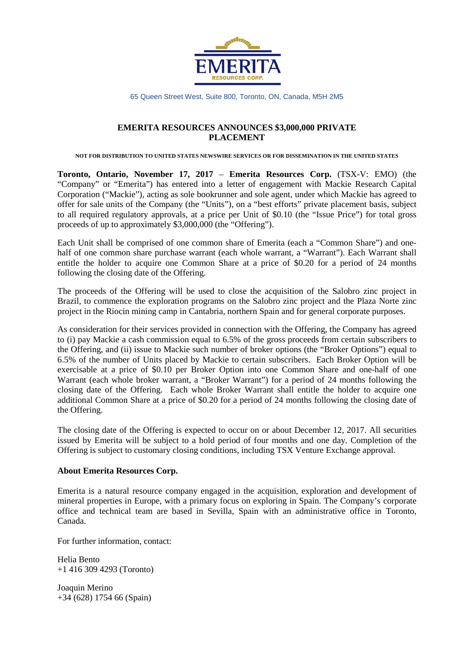

65 Queen Street West, Suite 800, Toronto, ON, Canada, M5H 2M5

## **EMERITA RESOURCES ANNOUNCES \$3,000,000 PRIVATE PLACEMENT**

**NOT FOR DISTRIBUTION TO UNITED STATES NEWSWIRE SERVICES OR FOR DISSEMINATION IN THE UNITED STATES**

**Toronto, Ontario, November 17, 2017** – **Emerita Resources Corp.** (TSX-V: EMO) (the "Company" or "Emerita") has entered into a letter of engagement with Mackie Research Capital Corporation ("Mackie"), acting as sole bookrunner and sole agent, under which Mackie has agreed to offer for sale units of the Company (the "Units"), on a "best efforts" private placement basis, subject to all required regulatory approvals, at a price per Unit of \$0.10 (the "Issue Price") for total gross proceeds of up to approximately \$3,000,000 (the "Offering").

Each Unit shall be comprised of one common share of Emerita (each a "Common Share") and onehalf of one common share purchase warrant (each whole warrant, a "Warrant"). Each Warrant shall entitle the holder to acquire one Common Share at a price of \$0.20 for a period of 24 months following the closing date of the Offering.

The proceeds of the Offering will be used to close the acquisition of the Salobro zinc project in Brazil, to commence the exploration programs on the Salobro zinc project and the Plaza Norte zinc project in the Riocin mining camp in Cantabria, northern Spain and for general corporate purposes.

As consideration for their services provided in connection with the Offering, the Company has agreed to (i) pay Mackie a cash commission equal to 6.5% of the gross proceeds from certain subscribers to the Offering, and (ii) issue to Mackie such number of broker options (the "Broker Options") equal to 6.5% of the number of Units placed by Mackie to certain subscribers. Each Broker Option will be exercisable at a price of \$0.10 per Broker Option into one Common Share and one-half of one Warrant (each whole broker warrant, a "Broker Warrant") for a period of 24 months following the closing date of the Offering. Each whole Broker Warrant shall entitle the holder to acquire one additional Common Share at a price of \$0.20 for a period of 24 months following the closing date of the Offering.

The closing date of the Offering is expected to occur on or about December 12, 2017. All securities issued by Emerita will be subject to a hold period of four months and one day. Completion of the Offering is subject to customary closing conditions, including TSX Venture Exchange approval.

## **About Emerita Resources Corp.**

Emerita is a natural resource company engaged in the acquisition, exploration and development of mineral properties in Europe, with a primary focus on exploring in Spain. The Company's corporate office and technical team are based in Sevilla, Spain with an administrative office in Toronto, Canada.

For further information, contact:

Helia Bento +1 416 309 4293 (Toronto)

Joaquin Merino +34 (628) 1754 66 (Spain)